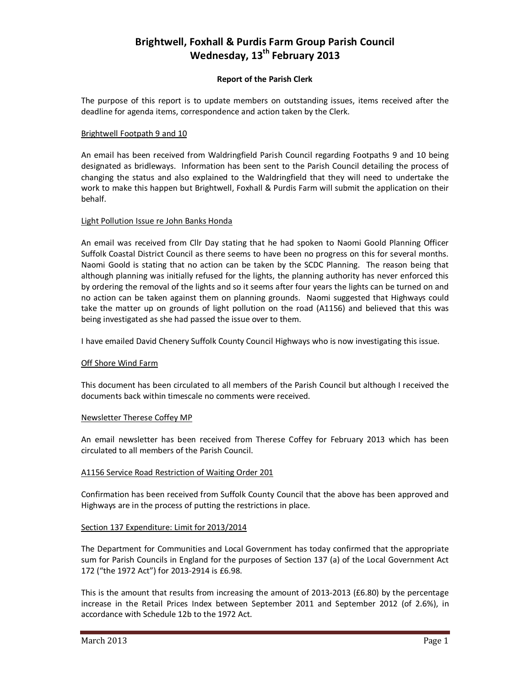# **Brightwell, Foxhall & Purdis Farm Group Parish Council Wednesday, 13th February 2013**

# **Report of the Parish Clerk**

The purpose of this report is to update members on outstanding issues, items received after the deadline for agenda items, correspondence and action taken by the Clerk.

## Brightwell Footpath 9 and 10

An email has been received from Waldringfield Parish Council regarding Footpaths 9 and 10 being designated as bridleways. Information has been sent to the Parish Council detailing the process of changing the status and also explained to the Waldringfield that they will need to undertake the work to make this happen but Brightwell, Foxhall & Purdis Farm will submit the application on their behalf.

## Light Pollution Issue re John Banks Honda

An email was received from Cllr Day stating that he had spoken to Naomi Goold Planning Officer Suffolk Coastal District Council as there seems to have been no progress on this for several months. Naomi Goold is stating that no action can be taken by the SCDC Planning. The reason being that although planning was initially refused for the lights, the planning authority has never enforced this by ordering the removal of the lights and so it seems after four years the lights can be turned on and no action can be taken against them on planning grounds. Naomi suggested that Highways could take the matter up on grounds of light pollution on the road (A1156) and believed that this was being investigated as she had passed the issue over to them.

I have emailed David Chenery Suffolk County Council Highways who is now investigating this issue.

#### Off Shore Wind Farm

This document has been circulated to all members of the Parish Council but although I received the documents back within timescale no comments were received.

#### Newsletter Therese Coffey MP

An email newsletter has been received from Therese Coffey for February 2013 which has been circulated to all members of the Parish Council.

#### A1156 Service Road Restriction of Waiting Order 201

Confirmation has been received from Suffolk County Council that the above has been approved and Highways are in the process of putting the restrictions in place.

# Section 137 Expenditure: Limit for 2013/2014

The Department for Communities and Local Government has today confirmed that the appropriate sum for Parish Councils in England for the purposes of Section 137 (a) of the Local Government Act 172 ("the 1972 Act") for 2013-2914 is £6.98.

This is the amount that results from increasing the amount of 2013-2013 (£6.80) by the percentage increase in the Retail Prices Index between September 2011 and September 2012 (of 2.6%), in accordance with Schedule 12b to the 1972 Act.